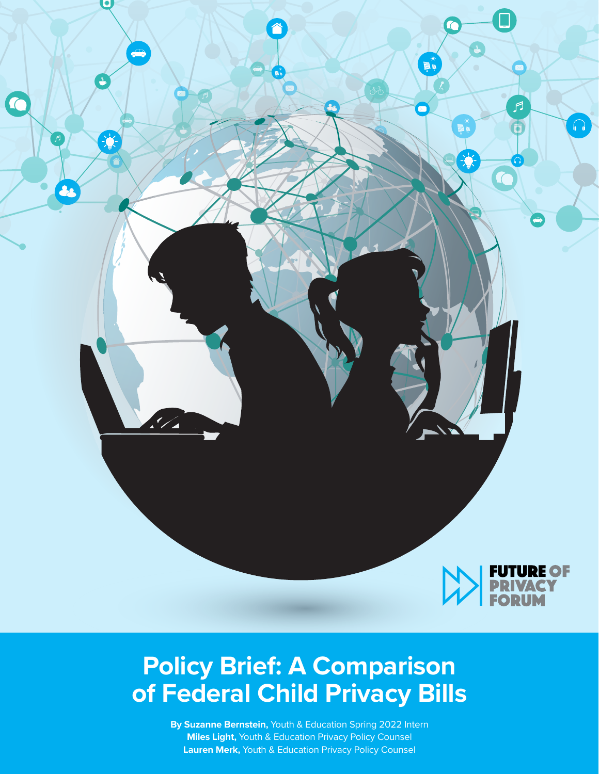

## **Policy Brief: A Comparison of Federal Child Privacy Bills**

**By Suzanne Bernstein,** Youth & Education Spring 2022 Intern **Miles Light,** Youth & Education Privacy Policy Counsel **Lauren Merk,** Youth & Education Privacy Policy Counsel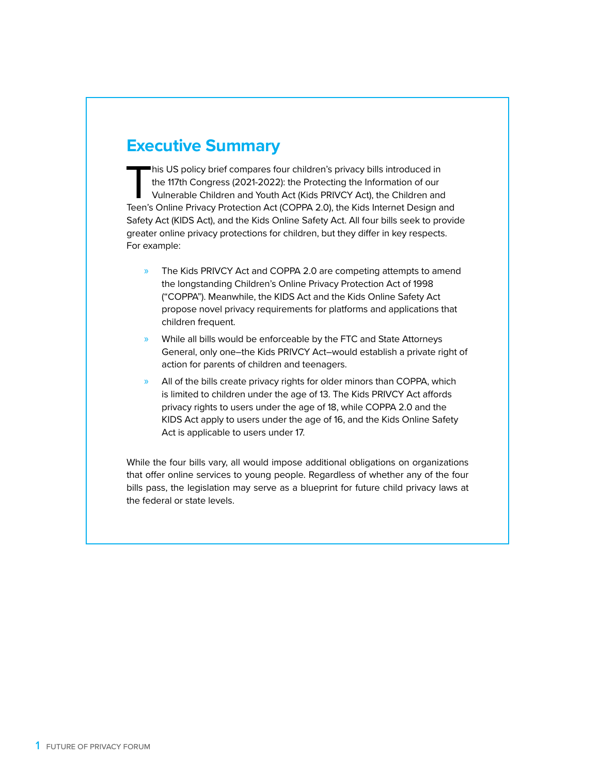## **Executive Summary**

This US policy brief compares four children's privacy bills introduced in<br>the 117th Congress (2021-2022): the Protecting the Information of our<br>Vulnerable Children and Youth Act (Kids PRIVCY Act), the Children and<br>Teen's O the 117th Congress (2021-2022): the Protecting the Information of our Vulnerable Children and Youth Act (Kids PRIVCY Act), the Children and Teen's Online Privacy Protection Act (COPPA 2.0), the Kids Internet Design and Safety Act (KIDS Act), and the Kids Online Safety Act. All four bills seek to provide greater online privacy protections for children, but they differ in key respects. For example:

- » The Kids PRIVCY Act and COPPA 2.0 are competing attempts to amend the longstanding Children's Online Privacy Protection Act of 1998 ("COPPA"). Meanwhile, the KIDS Act and the Kids Online Safety Act propose novel privacy requirements for platforms and applications that children frequent.
- » While all bills would be enforceable by the FTC and State Attorneys General, only one–the Kids PRIVCY Act–would establish a private right of action for parents of children and teenagers.
- » All of the bills create privacy rights for older minors than COPPA, which is limited to children under the age of 13. The Kids PRIVCY Act affords privacy rights to users under the age of 18, while COPPA 2.0 and the KIDS Act apply to users under the age of 16, and the Kids Online Safety Act is applicable to users under 17.

While the four bills vary, all would impose additional obligations on organizations that offer online services to young people. Regardless of whether any of the four bills pass, the legislation may serve as a blueprint for future child privacy laws at the federal or state levels.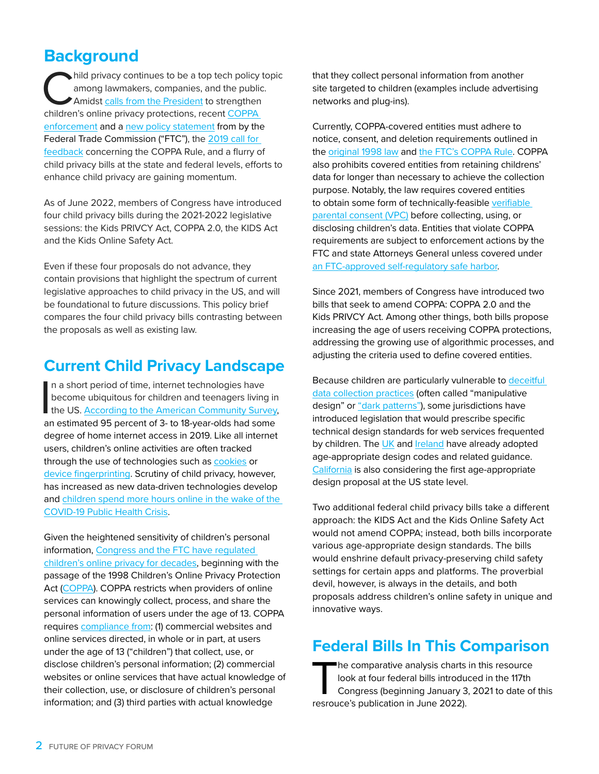## **Background**

 $\blacktriangleright$  hild privacy continues to be a top tech policy topic among lawmakers, companies, and the public. Amidst calls from the President to strengthen children's online privacy protections, recent [COPPA](https://fpf.org/blog/ftc-requires-algorithmic-disgorgement-as-a-coppa-remedy-for-first-time/)  [enforcement](https://fpf.org/blog/ftc-requires-algorithmic-disgorgement-as-a-coppa-remedy-for-first-time/) and a [new policy statement](https://studentprivacycompass.org/fpf-responds-to-the-ftcs-coppa-policy-statement/) from by the Federal Trade Commission ("FTC"), the 2019 call for [feedback](https://www.ftc.gov/news-events/news/press-releases/2019/07/ftc-seeks-comments-childrens-online-privacy-protection-act-rule) concerning the COPPA Rule, and a flurry of child privacy bills at the state and federal levels, efforts to enhance child privacy are gaining momentum.

As of June 2022, members of Congress have introduced four child privacy bills during the 2021-2022 legislative sessions: the Kids PRIVCY Act, COPPA 2.0, the KIDS Act and the Kids Online Safety Act.

Even if these four proposals do not advance, they contain provisions that highlight the spectrum of current legislative approaches to child privacy in the US, and will be foundational to future discussions. This policy brief compares the four child privacy bills contrasting between the proposals as well as existing law.

## **Current Child Privacy Landscape**

 $\prod_{\alpha}$ n a short period of time, internet technologies have become ubiquitous for children and teenagers living in the US. **According to the American Community Survey**, an estimated 95 percent of 3- to 18-year-olds had some degree of home internet access in 2019. Like all internet users, children's online activities are often tracked through the use of technologies such as [cookies](https://www.ftc.gov/policy-notices/privacy-policy/internet-cookies) or [device fingerprinting](https://www.gsd.inesc-id.pt/~mpc/pubs/fingerprinting-trustcom2016.pdf). Scrutiny of child privacy, however, has increased as new data-driven technologies develop and [children spend more hours online in the wake of the](https://jamanetwork.com/journals/jamapediatrics/fullarticle/2785686)  [COVID-19 Public Health Crisis](https://jamanetwork.com/journals/jamapediatrics/fullarticle/2785686).

Given the heightened sensitivity of children's personal information, [Congress and the FTC have regulated](https://fpf.org/blog/the-state-of-play-issue-brief-coppa-101/)  [children's online privacy for decades](https://fpf.org/blog/the-state-of-play-issue-brief-coppa-101/), beginning with the passage of the 1998 Children's Online Privacy Protection Act [\(COPPA](https://www.ecfr.gov/current/title-16/part-312)). COPPA restricts when providers of online services can knowingly collect, process, and share the personal information of users under the age of 13. COPPA requires [compliance from](https://www.ftc.gov/business-guidance/resources/complying-coppa-frequently-asked-questions): (1) commercial websites and online services directed, in whole or in part, at users under the age of 13 ("children") that collect, use, or disclose children's personal information; (2) commercial websites or online services that have actual knowledge of their collection, use, or disclosure of children's personal information; and (3) third parties with actual knowledge

that they collect personal information from another site targeted to children (examples include advertising networks and plug-ins).

Currently, COPPA-covered entities must adhere to notice, consent, and deletion requirements outlined in the [original 1998 law](https://www.congress.gov/105/bills/s2326/BILLS-105s2326is.pdf) and [the FTC's COPPA Rule](https://www.ecfr.gov/current/title-16/chapter-I/subchapter-C/part-312). COPPA also prohibits covered entities from retaining childrens' data for longer than necessary to achieve the collection purpose. Notably, the law requires covered entities to obtain some form of technically-feasible [verifiable](https://fpf.org/verifiable-parental-consent-the-state-of-play/)  [parental consent \(VPC\)](https://fpf.org/verifiable-parental-consent-the-state-of-play/) before collecting, using, or disclosing children's data. Entities that violate COPPA requirements are subject to enforcement actions by the FTC and state Attorneys General unless covered under [an FTC-approved self-regulatory safe harbor](https://fpf.org/blog/guest-blog-on-privacy-safe-harbors-2/).

Since 2021, members of Congress have introduced two bills that seek to amend COPPA: COPPA 2.0 and the Kids PRIVCY Act. Among other things, both bills propose increasing the age of users receiving COPPA protections, addressing the growing use of algorithmic processes, and adjusting the criteria used to define covered entities.

Because children are particularly vulnerable to deceitful [data collection practices](https://sback.it/publications/chi2020.pdf) (often called "manipulative design" or ["dark patterns"](https://fpf.org/wp-content/uploads/2021/03/Dark-Patterns-Draft-Slide-Deck-1.pdf)), some jurisdictions have introduced legislation that would prescribe specific technical design standards for web services frequented by children. The [UK](https://ico.org.uk/media/for-organisations/guide-to-data-protection/key-data-protection-themes/age-appropriate-design-a-code-of-practice-for-online-services-2-1.pdf) and *Ireland* have already adopted age-appropriate design codes and related guidance. [California](https://leginfo.legislature.ca.gov/faces/billTextClient.xhtml?bill_id=202120220AB2273) is also considering the first age-appropriate design proposal at the US state level.

Two additional federal child privacy bills take a different approach: the KIDS Act and the Kids Online Safety Act would not amend COPPA; instead, both bills incorporate various age-appropriate design standards. The bills would enshrine default privacy-preserving child safety settings for certain apps and platforms. The proverbial devil, however, is always in the details, and both proposals address children's online safety in unique and innovative ways.

## **Federal Bills In This Comparison**

The comparative analysis charts in this resource<br>look at four federal bills introduced in the 117th<br>Congress (beginning January 3, 2021 to date of look at four federal bills introduced in the 117th Congress (beginning January 3, 2021 to date of this resrouce's publication in June 2022).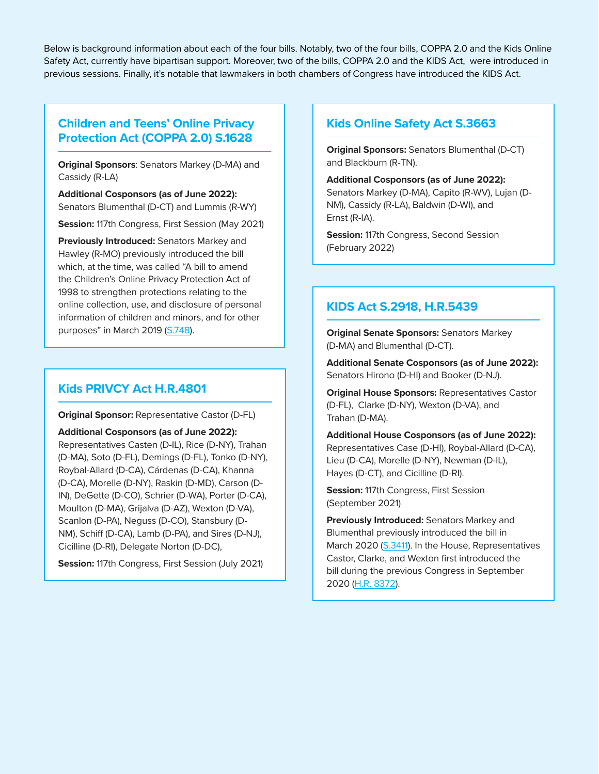Below is background information about each of the four bills. Notably, two of the four bills, COPPA 2.0 and the Kids Online Safety Act, currently have bipartisan support. Moreover, two of the bills, COPPA 2.0 and the KIDS Act, were introduced in previous sessions. Finally, it's notable that lawmakers in both chambers of Congress have introduced the KIDS Act.

#### **Children and Teens' Online Privacy Protection Act (COPPA 2.0) [S.1628](https://www.congress.gov/bill/117th-congress/senate-bill/1628?q=%7B%22search%22%3A%5B%22%5C%22A+bill+to+amend+the+Children%27s+Online+Privacy+Protection+Act+of+1998+to+strengthen+protections+relating+to+the+online+collection%2C+use%2C+and+disclosure+of+personal+information+of+children+and+minors%2C+and+for+other+purposes.%5C%22%22%2C%22%5C%22A%22%2C%22bill%22%2C%22to%22%2C%22amend%22%2C%22the%22%2C%22Children%27s%22%2C%22Online%22%2C%22Privacy%22%2C%22Protection%22%2C%22Act%22%2C%22of%22%2C%221998%22%2C%22to%22%2C%22strengthen%22%2C%22protections%22%2C%22relating%22%2C%22to%22%2C%22the%22%2C%22online%22%2C%22collection%2C%22%2C%22use%2C%22%2C%22and%22%2C%22disclosure%22%2C%22of%22%2C%22personal%22%2C%22information%22%2C%22of%22%2C%22children%22%2C%22and%22%2C%22minors%2C%22%2C%22and%22%2C%22for%22%2C%22other%22%2C%22purposes.%5C%22%22%5D%7D&s=2&r=1)**

**Original Sponsors**: Senators Markey (D-MA) and Cassidy (R-LA)

**Additional Cosponsors (as of June 2022):** Senators Blumenthal (D-CT) and Lummis (R-WY)

**Session:** 117th Congress, First Session (May 2021)

**Previously Introduced:** Senators Markey and Hawley (R-MO) previously introduced the bill which, at the time, was called "A bill to amend the Children's Online Privacy Protection Act of 1998 to strengthen protections relating to the online collection, use, and disclosure of personal information of children and minors, and for other purposes" in March 2019 ([S.748](https://www.congress.gov/bill/116th-congress/senate-bill/748)).

#### **Kids PRIVCY Act [H.R.4801](https://www.congress.gov/bill/117th-congress/house-bill/4801?q=%7B%22search%22%3A%5B%22%5C%22Kids+PRIVCY+Act%5C%22%22%2C%22%5C%22Kids%22%2C%22PRIVCY%22%2C%22Act%5C%22%22%5D%7D&s=4&r=1)**

**Original Sponsor:** Representative Castor (D-FL)

**Additional Cosponsors (as of June 2022):** Representatives Casten (D-IL), Rice (D-NY), Trahan (D-MA), Soto (D-FL), Demings (D-FL), Tonko (D-NY), Roybal-Allard (D-CA), Cárdenas (D-CA), Khanna (D-CA), Morelle (D-NY), Raskin (D-MD), Carson (D-IN), DeGette (D-CO), Schrier (D-WA), Porter (D-CA), Moulton (D-MA), Grijalva (D-AZ), Wexton (D-VA), Scanlon (D-PA), Neguss (D-CO), Stansbury (D-NM), Schiff (D-CA), Lamb (D-PA), and Sires (D-NJ), Cicilline (D-RI), Delegate Norton (D-DC),

**Session:** 117th Congress, First Session (July 2021)

#### **Kids Online Safety Act [S.3663](https://www.congress.gov/bill/117th-congress/senate-bill/3663/text?q=%7B%22search%22%3A%5B%22%5C%22Kids+Online+Safety+Act%5C%22%22%5D%7D)**

**Original Sponsors:** Senators Blumenthal (D-CT) and Blackburn (R-TN).

**Additional Cosponsors (as of June 2022):**  Senators Markey (D-MA), Capito (R-WV), Lujan (D-NM), Cassidy (R-LA), Baldwin (D-WI), and Ernst (R-IA).

**Session:** 117th Congress, Second Session (February 2022)

#### **KIDS Act [S.2918](https://www.congress.gov/bill/117th-congress/senate-bill/2918?q=%7B%22search%22%3A%5B%22%5C%22Kids+Internet+Design+and+Safety+Act%5C%22%22%5D%7D), [H.R.5439](https://www.congress.gov/bill/117th-congress/house-bill/5439)**

**Original Senate Sponsors:** Senators Markey (D-MA) and Blumenthal (D-CT).

**Additional Senate Cosponsors (as of June 2022):**  Senators Hirono (D-HI) and Booker (D-NJ).

**Original House Sponsors:** Representatives Castor (D-FL), Clarke (D-NY), Wexton (D-VA), and Trahan (D-MA).

**Additional House Cosponsors (as of June 2022):**  Representatives Case (D-HI), Roybal-Allard (D-CA), Lieu (D-CA), Morelle (D-NY), Newman (D-IL), Hayes (D-CT), and Cicilline (D-RI).

**Session:** 117th Congress, First Session (September 2021)

**Previously Introduced:** Senators Markey and Blumenthal previously introduced the bill in March 2020 ([S.3411](https://www.congress.gov/bill/116th-congress/senate-bill/3411/text)). In the House, Representatives Castor, Clarke, and Wexton first introduced the bill during the previous Congress in September 2020 [\(H.R. 8372](https://www.congress.gov/bill/116th-congress/house-bill/8372/text)).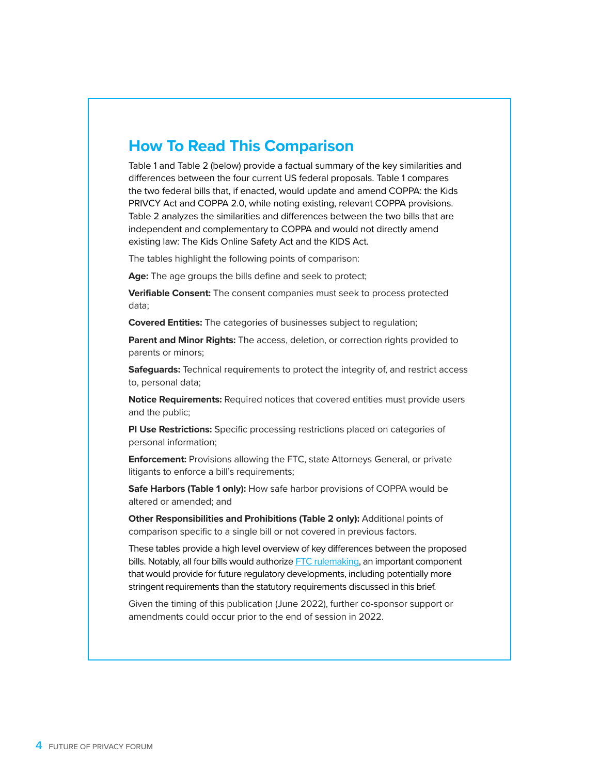## **How To Read This Comparison**

Table 1 and Table 2 (below) provide a factual summary of the key similarities and differences between the four current US federal proposals. Table 1 compares the two federal bills that, if enacted, would update and amend COPPA: the Kids PRIVCY Act and COPPA 2.0, while noting existing, relevant COPPA provisions. Table 2 analyzes the similarities and differences between the two bills that are independent and complementary to COPPA and would not directly amend existing law: The Kids Online Safety Act and the KIDS Act.

The tables highlight the following points of comparison:

**Age:** The age groups the bills define and seek to protect;

**Verifiable Consent:** The consent companies must seek to process protected data;

**Covered Entities:** The categories of businesses subject to regulation;

**Parent and Minor Rights:** The access, deletion, or correction rights provided to parents or minors;

**Safeguards:** Technical requirements to protect the integrity of, and restrict access to, personal data;

**Notice Requirements:** Required notices that covered entities must provide users and the public;

**PI Use Restrictions:** Specific processing restrictions placed on categories of personal information;

**Enforcement:** Provisions allowing the FTC, state Attorneys General, or private litigants to enforce a bill's requirements;

Safe Harbors (Table 1 only): How safe harbor provisions of COPPA would be altered or amended; and

**Other Responsibilities and Prohibitions (Table 2 only):** Additional points of comparison specific to a single bill or not covered in previous factors.

These tables provide a high level overview of key differences between the proposed bills. Notably, all four bills would authorize [FTC rulemaking,](https://iapp.org/media/pdf/resource_center/ftc_privacy_rulemaking_infographic.pdf) an important component that would provide for future regulatory developments, including potentially more stringent requirements than the statutory requirements discussed in this brief.

Given the timing of this publication (June 2022), further co-sponsor support or amendments could occur prior to the end of session in 2022.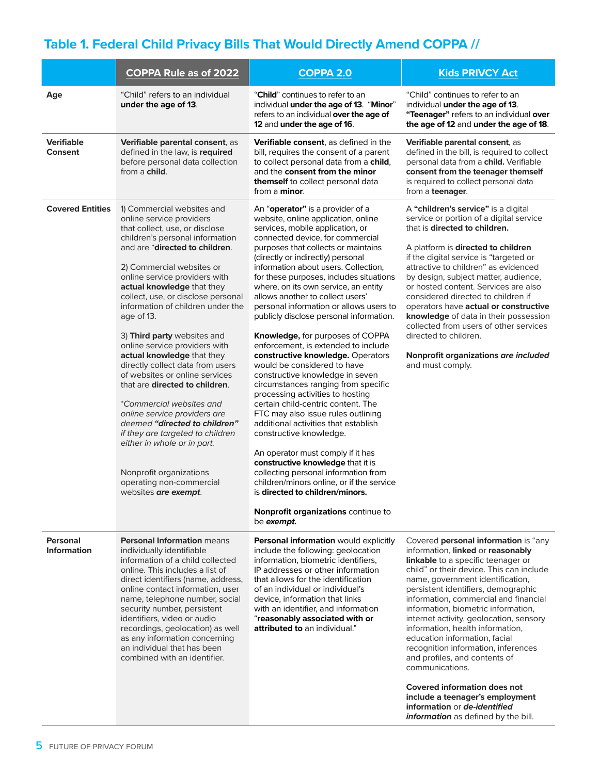## **Table 1. Federal Child Privacy Bills That Would Directly Amend COPPA //**

|                                       | <b>COPPA Rule as of 2022</b>                                                                                                                                                                                                                                                                                                                                                                                                                                                                                                                                                                                                                                                                                                                                                                                             | <b>COPPA 2.0</b>                                                                                                                                                                                                                                                                                                                                                                                                                                                                                                                                                                                                                                                                                                                                                                                                                                                                                                                                                                                                                                                                                                                                    | <b>Kids PRIVCY Act</b>                                                                                                                                                                                                                                                                                                                                                                                                                                                                                                                                                                                                                                                             |
|---------------------------------------|--------------------------------------------------------------------------------------------------------------------------------------------------------------------------------------------------------------------------------------------------------------------------------------------------------------------------------------------------------------------------------------------------------------------------------------------------------------------------------------------------------------------------------------------------------------------------------------------------------------------------------------------------------------------------------------------------------------------------------------------------------------------------------------------------------------------------|-----------------------------------------------------------------------------------------------------------------------------------------------------------------------------------------------------------------------------------------------------------------------------------------------------------------------------------------------------------------------------------------------------------------------------------------------------------------------------------------------------------------------------------------------------------------------------------------------------------------------------------------------------------------------------------------------------------------------------------------------------------------------------------------------------------------------------------------------------------------------------------------------------------------------------------------------------------------------------------------------------------------------------------------------------------------------------------------------------------------------------------------------------|------------------------------------------------------------------------------------------------------------------------------------------------------------------------------------------------------------------------------------------------------------------------------------------------------------------------------------------------------------------------------------------------------------------------------------------------------------------------------------------------------------------------------------------------------------------------------------------------------------------------------------------------------------------------------------|
| Age                                   | "Child" refers to an individual<br>under the age of 13.                                                                                                                                                                                                                                                                                                                                                                                                                                                                                                                                                                                                                                                                                                                                                                  | " <b>Child</b> " continues to refer to an<br>individual under the age of 13. "Minor"<br>refers to an individual over the age of<br>12 and under the age of 16.                                                                                                                                                                                                                                                                                                                                                                                                                                                                                                                                                                                                                                                                                                                                                                                                                                                                                                                                                                                      | "Child" continues to refer to an<br>individual under the age of 13.<br>"Teenager" refers to an individual over<br>the age of 12 and under the age of 18.                                                                                                                                                                                                                                                                                                                                                                                                                                                                                                                           |
| <b>Verifiable</b><br><b>Consent</b>   | Verifiable parental consent, as<br>defined in the law, is required<br>before personal data collection<br>from a <b>child</b> .                                                                                                                                                                                                                                                                                                                                                                                                                                                                                                                                                                                                                                                                                           | Verifiable consent, as defined in the<br>bill, requires the consent of a parent<br>to collect personal data from a child,<br>and the consent from the minor<br>themself to collect personal data<br>from a <b>minor</b> .                                                                                                                                                                                                                                                                                                                                                                                                                                                                                                                                                                                                                                                                                                                                                                                                                                                                                                                           | Verifiable parental consent, as<br>defined in the bill, is required to collect<br>personal data from a child. Verifiable<br>consent from the teenager themself<br>is required to collect personal data<br>from a teenager.                                                                                                                                                                                                                                                                                                                                                                                                                                                         |
| <b>Covered Entities</b>               | 1) Commercial websites and<br>online service providers<br>that collect, use, or disclose<br>children's personal information<br>and are * <b>directed to children</b> .<br>2) Commercial websites or<br>online service providers with<br>actual knowledge that they<br>collect, use, or disclose personal<br>information of children under the<br>age of 13.<br>3) Third party websites and<br>online service providers with<br>actual knowledge that they<br>directly collect data from users<br>of websites or online services<br>that are directed to children.<br>*Commercial websites and<br>online service providers are<br>deemed "directed to children"<br>if they are targeted to children<br>either in whole or in part.<br>Nonprofit organizations<br>operating non-commercial<br>websites <b>are exempt</b> . | An "operator" is a provider of a<br>website, online application, online<br>services, mobile application, or<br>connected device, for commercial<br>purposes that collects or maintains<br>(directly or indirectly) personal<br>information about users. Collection,<br>for these purposes, includes situations<br>where, on its own service, an entity<br>allows another to collect users'<br>personal information or allows users to<br>publicly disclose personal information.<br>Knowledge, for purposes of COPPA<br>enforcement, is extended to include<br>constructive knowledge. Operators<br>would be considered to have<br>constructive knowledge in seven<br>circumstances ranging from specific<br>processing activities to hosting<br>certain child-centric content. The<br>FTC may also issue rules outlining<br>additional activities that establish<br>constructive knowledge.<br>An operator must comply if it has<br>constructive knowledge that it is<br>collecting personal information from<br>children/minors online, or if the service<br>is directed to children/minors.<br>Nonprofit organizations continue to<br>be exempt. | A "children's service" is a digital<br>service or portion of a digital service<br>that is directed to children.<br>A platform is directed to children<br>if the digital service is "targeted or<br>attractive to children" as evidenced<br>by design, subject matter, audience,<br>or hosted content. Services are also<br>considered directed to children if<br>operators have actual or constructive<br>knowledge of data in their possession<br>collected from users of other services<br>directed to children.<br>Nonprofit organizations are included<br>and must comply.                                                                                                     |
| <b>Personal</b><br><b>Information</b> | <b>Personal Information means</b><br>individually identifiable<br>information of a child collected<br>online. This includes a list of<br>direct identifiers (name, address,<br>online contact information, user<br>name, telephone number, social<br>security number, persistent<br>identifiers, video or audio<br>recordings, geolocation) as well<br>as any information concerning<br>an individual that has been<br>combined with an identifier.                                                                                                                                                                                                                                                                                                                                                                      | Personal information would explicitly<br>include the following: geolocation<br>information, biometric identifiers,<br>IP addresses or other information<br>that allows for the identification<br>of an individual or individual's<br>device, information that links<br>with an identifier, and information<br>"reasonably associated with or<br>attributed to an individual."                                                                                                                                                                                                                                                                                                                                                                                                                                                                                                                                                                                                                                                                                                                                                                       | Covered personal information is "any<br>information, linked or reasonably<br>linkable to a specific teenager or<br>child" or their device. This can include<br>name, government identification,<br>persistent identifiers, demographic<br>information, commercial and financial<br>information, biometric information,<br>internet activity, geolocation, sensory<br>information, health information,<br>education information, facial<br>recognition information, inferences<br>and profiles, and contents of<br>communications.<br><b>Covered information does not</b><br>include a teenager's employment<br>information or de-identified<br>information as defined by the bill. |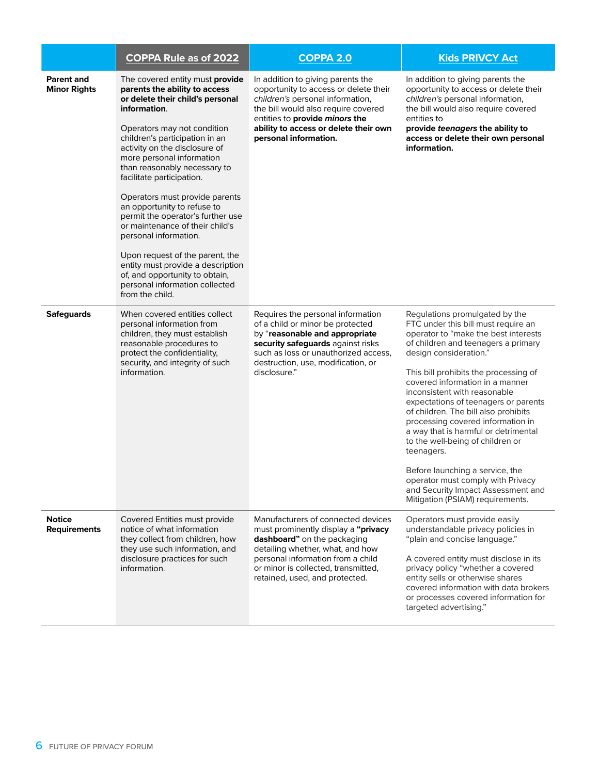|                                      | <b>COPPA Rule as of 2022</b>                                                                                                                                                                                                                                                                                                                                                                                                                                                                                                                                                                                                                      | <b>COPPA 2.0</b>                                                                                                                                                                                                                                           | <b>Kids PRIVCY Act</b>                                                                                                                                                                                                                                                                                                                                                                                                                                                                                                                                                                                                                                      |
|--------------------------------------|---------------------------------------------------------------------------------------------------------------------------------------------------------------------------------------------------------------------------------------------------------------------------------------------------------------------------------------------------------------------------------------------------------------------------------------------------------------------------------------------------------------------------------------------------------------------------------------------------------------------------------------------------|------------------------------------------------------------------------------------------------------------------------------------------------------------------------------------------------------------------------------------------------------------|-------------------------------------------------------------------------------------------------------------------------------------------------------------------------------------------------------------------------------------------------------------------------------------------------------------------------------------------------------------------------------------------------------------------------------------------------------------------------------------------------------------------------------------------------------------------------------------------------------------------------------------------------------------|
| Parent and<br><b>Minor Rights</b>    | The covered entity must provide<br>parents the ability to access<br>or delete their child's personal<br>information.<br>Operators may not condition<br>children's participation in an<br>activity on the disclosure of<br>more personal information<br>than reasonably necessary to<br>facilitate participation.<br>Operators must provide parents<br>an opportunity to refuse to<br>permit the operator's further use<br>or maintenance of their child's<br>personal information.<br>Upon request of the parent, the<br>entity must provide a description<br>of, and opportunity to obtain,<br>personal information collected<br>from the child. | In addition to giving parents the<br>opportunity to access or delete their<br>children's personal information,<br>the bill would also require covered<br>entities to provide minors the<br>ability to access or delete their own<br>personal information.  | In addition to giving parents the<br>opportunity to access or delete their<br>children's personal information,<br>the bill would also require covered<br>entities to<br>provide teenagers the ability to<br>access or delete their own personal<br>information.                                                                                                                                                                                                                                                                                                                                                                                             |
| <b>Safeguards</b>                    | When covered entities collect<br>personal information from<br>children, they must establish<br>reasonable procedures to<br>protect the confidentiality,<br>security, and integrity of such<br>information.                                                                                                                                                                                                                                                                                                                                                                                                                                        | Requires the personal information<br>of a child or minor be protected<br>by "reasonable and appropriate<br>security safeguards against risks<br>such as loss or unauthorized access,<br>destruction, use, modification, or<br>disclosure."                 | Regulations promulgated by the<br>FTC under this bill must require an<br>operator to "make the best interests<br>of children and teenagers a primary<br>design consideration."<br>This bill prohibits the processing of<br>covered information in a manner<br>inconsistent with reasonable<br>expectations of teenagers or parents<br>of children. The bill also prohibits<br>processing covered information in<br>a way that is harmful or detrimental<br>to the well-being of children or<br>teenagers.<br>Before launching a service, the<br>operator must comply with Privacy<br>and Security Impact Assessment and<br>Mitigation (PSIAM) requirements. |
| <b>Notice</b><br><b>Requirements</b> | Covered Entities must provide<br>notice of what information<br>they collect from children, how<br>they use such information, and<br>disclosure practices for such<br>information.                                                                                                                                                                                                                                                                                                                                                                                                                                                                 | Manufacturers of connected devices<br>must prominently display a "privacy<br>dashboard" on the packaging<br>detailing whether, what, and how<br>personal information from a child<br>or minor is collected, transmitted,<br>retained, used, and protected. | Operators must provide easily<br>understandable privacy policies in<br>"plain and concise language."<br>A covered entity must disclose in its<br>privacy policy "whether a covered<br>entity sells or otherwise shares<br>covered information with data brokers<br>or processes covered information for<br>targeted advertising."                                                                                                                                                                                                                                                                                                                           |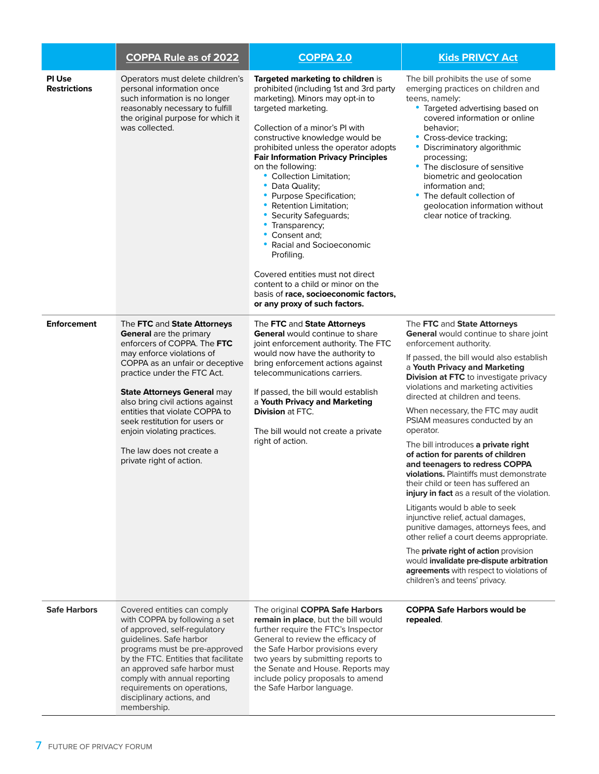|                                      | <b>COPPA Rule as of 2022</b>                                                                                                                                                                                                                                                                                                                                                                                       | <b>COPPA 2.0</b>                                                                                                                                                                                                                                                                                                                                                                                                                                                                                                                                                                                                                                                                                          | <b>Kids PRIVCY Act</b>                                                                                                                                                                                                                                                                                                                                                                                                                                                                                                                                                                                                                                                                                                                                                                                                                                                                                                                                             |
|--------------------------------------|--------------------------------------------------------------------------------------------------------------------------------------------------------------------------------------------------------------------------------------------------------------------------------------------------------------------------------------------------------------------------------------------------------------------|-----------------------------------------------------------------------------------------------------------------------------------------------------------------------------------------------------------------------------------------------------------------------------------------------------------------------------------------------------------------------------------------------------------------------------------------------------------------------------------------------------------------------------------------------------------------------------------------------------------------------------------------------------------------------------------------------------------|--------------------------------------------------------------------------------------------------------------------------------------------------------------------------------------------------------------------------------------------------------------------------------------------------------------------------------------------------------------------------------------------------------------------------------------------------------------------------------------------------------------------------------------------------------------------------------------------------------------------------------------------------------------------------------------------------------------------------------------------------------------------------------------------------------------------------------------------------------------------------------------------------------------------------------------------------------------------|
| <b>PI Use</b><br><b>Restrictions</b> | Operators must delete children's<br>personal information once<br>such information is no longer<br>reasonably necessary to fulfill<br>the original purpose for which it<br>was collected.                                                                                                                                                                                                                           | Targeted marketing to children is<br>prohibited (including 1st and 3rd party<br>marketing). Minors may opt-in to<br>targeted marketing.<br>Collection of a minor's PI with<br>constructive knowledge would be<br>prohibited unless the operator adopts<br><b>Fair Information Privacy Principles</b><br>on the following:<br>• Collection Limitation;<br>• Data Quality:<br>• Purpose Specification;<br>• Retention Limitation;<br>• Security Safeguards;<br>• Transparency;<br>Consent and:<br>$\bullet$<br>• Racial and Socioeconomic<br>Profiling.<br>Covered entities must not direct<br>content to a child or minor on the<br>basis of race, socioeconomic factors,<br>or any proxy of such factors. | The bill prohibits the use of some<br>emerging practices on children and<br>teens, namely:<br>• Targeted advertising based on<br>covered information or online<br>behavior;<br>• Cross-device tracking;<br>• Discriminatory algorithmic<br>processing;<br>The disclosure of sensitive<br>biometric and geolocation<br>information and;<br>The default collection of<br>geolocation information without<br>clear notice of tracking.                                                                                                                                                                                                                                                                                                                                                                                                                                                                                                                                |
| <b>Enforcement</b>                   | The FTC and State Attorneys<br>General are the primary<br>enforcers of COPPA. The FTC<br>may enforce violations of<br>COPPA as an unfair or deceptive<br>practice under the FTC Act.<br>State Attorneys General may<br>also bring civil actions against<br>entities that violate COPPA to<br>seek restitution for users or<br>enjoin violating practices.<br>The law does not create a<br>private right of action. | The FTC and State Attorneys<br><b>General</b> would continue to share<br>joint enforcement authority. The FTC<br>would now have the authority to<br>bring enforcement actions against<br>telecommunications carriers.<br>If passed, the bill would establish<br>a Youth Privacy and Marketing<br><b>Division at FTC.</b><br>The bill would not create a private<br>right of action.                                                                                                                                                                                                                                                                                                                       | The FTC and State Attorneys<br>General would continue to share joint<br>enforcement authority.<br>If passed, the bill would also establish<br>a Youth Privacy and Marketing<br>Division at FTC to investigate privacy<br>violations and marketing activities<br>directed at children and teens.<br>When necessary, the FTC may audit<br>PSIAM measures conducted by an<br>operator.<br>The bill introduces a private right<br>of action for parents of children<br>and teenagers to redress COPPA<br>violations. Plaintiffs must demonstrate<br>their child or teen has suffered an<br>injury in fact as a result of the violation.<br>Litigants would b able to seek<br>injunctive relief, actual damages,<br>punitive damages, attorneys fees, and<br>other relief a court deems appropriate.<br>The private right of action provision<br>would invalidate pre-dispute arbitration<br>agreements with respect to violations of<br>children's and teens' privacy. |
| <b>Safe Harbors</b>                  | Covered entities can comply<br>with COPPA by following a set<br>of approved, self-regulatory<br>guidelines. Safe harbor<br>programs must be pre-approved<br>by the FTC. Entities that facilitate<br>an approved safe harbor must<br>comply with annual reporting<br>requirements on operations,<br>disciplinary actions, and<br>membership.                                                                        | The original COPPA Safe Harbors<br>remain in place, but the bill would<br>further require the FTC's Inspector<br>General to review the efficacy of<br>the Safe Harbor provisions every<br>two years by submitting reports to<br>the Senate and House. Reports may<br>include policy proposals to amend<br>the Safe Harbor language.                                                                                                                                                                                                                                                                                                                                                                       | <b>COPPA Safe Harbors would be</b><br>repealed.                                                                                                                                                                                                                                                                                                                                                                                                                                                                                                                                                                                                                                                                                                                                                                                                                                                                                                                    |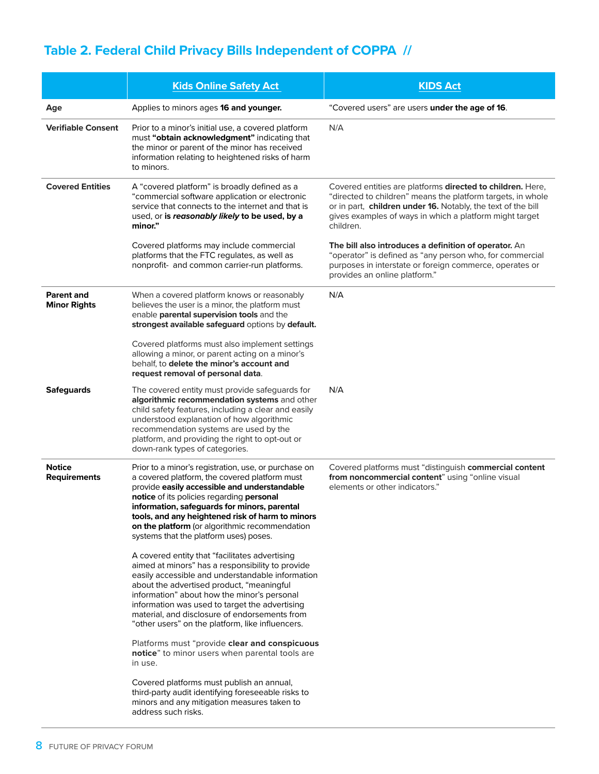## **Table 2. Federal Child Privacy Bills Independent of COPPA //**

|                                          | <b>Kids Online Safety Act</b>                                                                                                                                                                                                                                                                                                                                                                             | <b>KIDS Act</b>                                                                                                                                                                                                                                                   |
|------------------------------------------|-----------------------------------------------------------------------------------------------------------------------------------------------------------------------------------------------------------------------------------------------------------------------------------------------------------------------------------------------------------------------------------------------------------|-------------------------------------------------------------------------------------------------------------------------------------------------------------------------------------------------------------------------------------------------------------------|
| Age                                      | Applies to minors ages 16 and younger.                                                                                                                                                                                                                                                                                                                                                                    | "Covered users" are users under the age of 16.                                                                                                                                                                                                                    |
| <b>Verifiable Consent</b>                | Prior to a minor's initial use, a covered platform<br>must "obtain acknowledgment" indicating that<br>the minor or parent of the minor has received<br>information relating to heightened risks of harm<br>to minors.                                                                                                                                                                                     | N/A                                                                                                                                                                                                                                                               |
| <b>Covered Entities</b>                  | A "covered platform" is broadly defined as a<br>"commercial software application or electronic<br>service that connects to the internet and that is<br>used, or is reasonably likely to be used, by a<br>minor."                                                                                                                                                                                          | Covered entities are platforms directed to children. Here,<br>"directed to children" means the platform targets, in whole<br>or in part, children under 16. Notably, the text of the bill<br>gives examples of ways in which a platform might target<br>children. |
|                                          | Covered platforms may include commercial<br>platforms that the FTC regulates, as well as<br>nonprofit- and common carrier-run platforms.                                                                                                                                                                                                                                                                  | The bill also introduces a definition of operator. An<br>"operator" is defined as "any person who, for commercial<br>purposes in interstate or foreign commerce, operates or<br>provides an online platform."                                                     |
| <b>Parent and</b><br><b>Minor Rights</b> | When a covered platform knows or reasonably<br>believes the user is a minor, the platform must<br>enable parental supervision tools and the<br>strongest available safeguard options by default.                                                                                                                                                                                                          | N/A                                                                                                                                                                                                                                                               |
|                                          | Covered platforms must also implement settings<br>allowing a minor, or parent acting on a minor's<br>behalf, to delete the minor's account and<br>request removal of personal data.                                                                                                                                                                                                                       |                                                                                                                                                                                                                                                                   |
| <b>Safeguards</b>                        | The covered entity must provide safeguards for<br>algorithmic recommendation systems and other<br>child safety features, including a clear and easily<br>understood explanation of how algorithmic<br>recommendation systems are used by the<br>platform, and providing the right to opt-out or<br>down-rank types of categories.                                                                         | N/A                                                                                                                                                                                                                                                               |
| <b>Notice</b><br><b>Requirements</b>     | Prior to a minor's registration, use, or purchase on<br>a covered platform, the covered platform must<br>provide easily accessible and understandable<br>notice of its policies regarding personal<br>information, safeguards for minors, parental<br>tools, and any heightened risk of harm to minors<br>on the platform (or algorithmic recommendation<br>systems that the platform uses) poses.        | Covered platforms must "distinguish commercial content<br>from noncommercial content" using "online visual<br>elements or other indicators."                                                                                                                      |
|                                          | A covered entity that "facilitates advertising<br>aimed at minors" has a responsibility to provide<br>easily accessible and understandable information<br>about the advertised product, "meaningful<br>information" about how the minor's personal<br>information was used to target the advertising<br>material, and disclosure of endorsements from<br>"other users" on the platform, like influencers. |                                                                                                                                                                                                                                                                   |
|                                          | Platforms must "provide clear and conspicuous<br>notice" to minor users when parental tools are<br>in use.                                                                                                                                                                                                                                                                                                |                                                                                                                                                                                                                                                                   |
|                                          | Covered platforms must publish an annual,<br>third-party audit identifying foreseeable risks to<br>minors and any mitigation measures taken to<br>address such risks.                                                                                                                                                                                                                                     |                                                                                                                                                                                                                                                                   |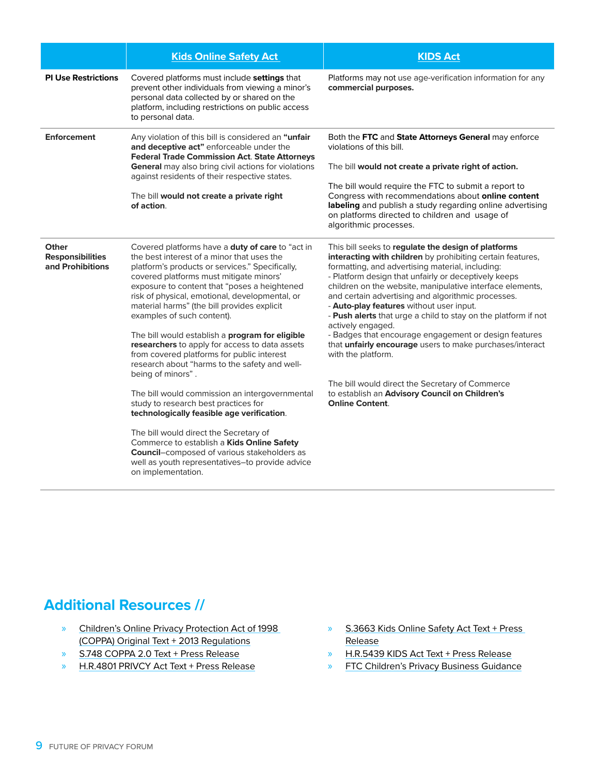|                                                      | <b>Kids Online Safety Act</b>                                                                                                                                                                                                                                                                                                                                                                                                                                                                                                                                                                                                                                                                                                                                                                                                                                                                                                                                       | <b>KIDS Act</b>                                                                                                                                                                                                                                                                                                                                                                                                                                                                                                                                                                                                                                                                                                                                               |
|------------------------------------------------------|---------------------------------------------------------------------------------------------------------------------------------------------------------------------------------------------------------------------------------------------------------------------------------------------------------------------------------------------------------------------------------------------------------------------------------------------------------------------------------------------------------------------------------------------------------------------------------------------------------------------------------------------------------------------------------------------------------------------------------------------------------------------------------------------------------------------------------------------------------------------------------------------------------------------------------------------------------------------|---------------------------------------------------------------------------------------------------------------------------------------------------------------------------------------------------------------------------------------------------------------------------------------------------------------------------------------------------------------------------------------------------------------------------------------------------------------------------------------------------------------------------------------------------------------------------------------------------------------------------------------------------------------------------------------------------------------------------------------------------------------|
| <b>PI Use Restrictions</b>                           | Covered platforms must include settings that<br>prevent other individuals from viewing a minor's<br>personal data collected by or shared on the<br>platform, including restrictions on public access<br>to personal data.                                                                                                                                                                                                                                                                                                                                                                                                                                                                                                                                                                                                                                                                                                                                           | Platforms may not use age-verification information for any<br>commercial purposes.                                                                                                                                                                                                                                                                                                                                                                                                                                                                                                                                                                                                                                                                            |
| <b>Enforcement</b>                                   | Any violation of this bill is considered an "unfair<br>and deceptive act" enforceable under the<br><b>Federal Trade Commission Act. State Attorneys</b><br>General may also bring civil actions for violations<br>against residents of their respective states.<br>The bill would not create a private right<br>of action.                                                                                                                                                                                                                                                                                                                                                                                                                                                                                                                                                                                                                                          | Both the FTC and State Attorneys General may enforce<br>violations of this bill.<br>The bill would not create a private right of action.<br>The bill would require the FTC to submit a report to<br>Congress with recommendations about online content<br>labeling and publish a study regarding online advertising<br>on platforms directed to children and usage of<br>algorithmic processes.                                                                                                                                                                                                                                                                                                                                                               |
| Other<br><b>Responsibilities</b><br>and Prohibitions | Covered platforms have a duty of care to "act in<br>the best interest of a minor that uses the<br>platform's products or services." Specifically,<br>covered platforms must mitigate minors'<br>exposure to content that "poses a heightened<br>risk of physical, emotional, developmental, or<br>material harms" (the bill provides explicit<br>examples of such content).<br>The bill would establish a program for eligible<br>researchers to apply for access to data assets<br>from covered platforms for public interest<br>research about "harms to the safety and well-<br>being of minors".<br>The bill would commission an intergovernmental<br>study to research best practices for<br>technologically feasible age verification.<br>The bill would direct the Secretary of<br>Commerce to establish a Kids Online Safety<br><b>Council-composed of various stakeholders as</b><br>well as youth representatives-to provide advice<br>on implementation. | This bill seeks to regulate the design of platforms<br>interacting with children by prohibiting certain features,<br>formatting, and advertising material, including:<br>- Platform design that unfairly or deceptively keeps<br>children on the website, manipulative interface elements,<br>and certain advertising and algorithmic processes.<br>- Auto-play features without user input.<br>- Push alerts that urge a child to stay on the platform if not<br>actively engaged.<br>- Badges that encourage engagement or design features<br>that unfairly encourage users to make purchases/interact<br>with the platform.<br>The bill would direct the Secretary of Commerce<br>to establish an Advisory Council on Children's<br><b>Online Content.</b> |

## **Additional Resources //**

- » [Children's Online Privacy Protection Act of 1998](https://www.congress.gov/105/bills/s2326/BILLS-105s2326is.pdf)  [\(COPPA\) Original Text](https://www.congress.gov/105/bills/s2326/BILLS-105s2326is.pdf) + [2013 Regulations](https://www.ftc.gov/system/files/2012-31341.pdf)
- » [S.748 COPPA 2.0 Text](https://www.congress.gov/bill/116th-congress/senate-bill/748/text?q=%7B%22search%22%3A%5B%22s.+748%22%5D%7D&r=1&s=6) + [Press Release](https://www.markey.senate.gov/news/press-releases/senators-markey-and-cassidy-propose-bipartisan-bill-to-update-childrens-online-privacy-rules)
- » [H.R.4801 PRIVCY Act Text](https://www.congress.gov/bill/117th-congress/house-bill/4801/text?r=88&s=1) + [Press Release](https://castor.house.gov/news/documentsingle.aspx?DocumentID=403677)
- » [S.3663 Kids Online Safety Act Text](https://www.congress.gov/bill/117th-congress/senate-bill/3663/text) + [Press](https://www.blumenthal.senate.gov/newsroom/press/release/blumenthal-and-blackburn-introduce-comprehensive-kids-online-safety-legislation)  [Release](https://www.blumenthal.senate.gov/newsroom/press/release/blumenthal-and-blackburn-introduce-comprehensive-kids-online-safety-legislation)
- » H.R.5439 KIDS Act Text + [Press Release](https://www.markey.senate.gov/news/press-releases/senators-markey-and-blumenthal-rep-castor-reintroduce-legislation-to-protect-children-and-teens-from-online-manipulation-and-harm)
- » [FTC Children's Privacy Business Guidance](https://www.ftc.gov/business-guidance/privacy-security/childrens-privacy)